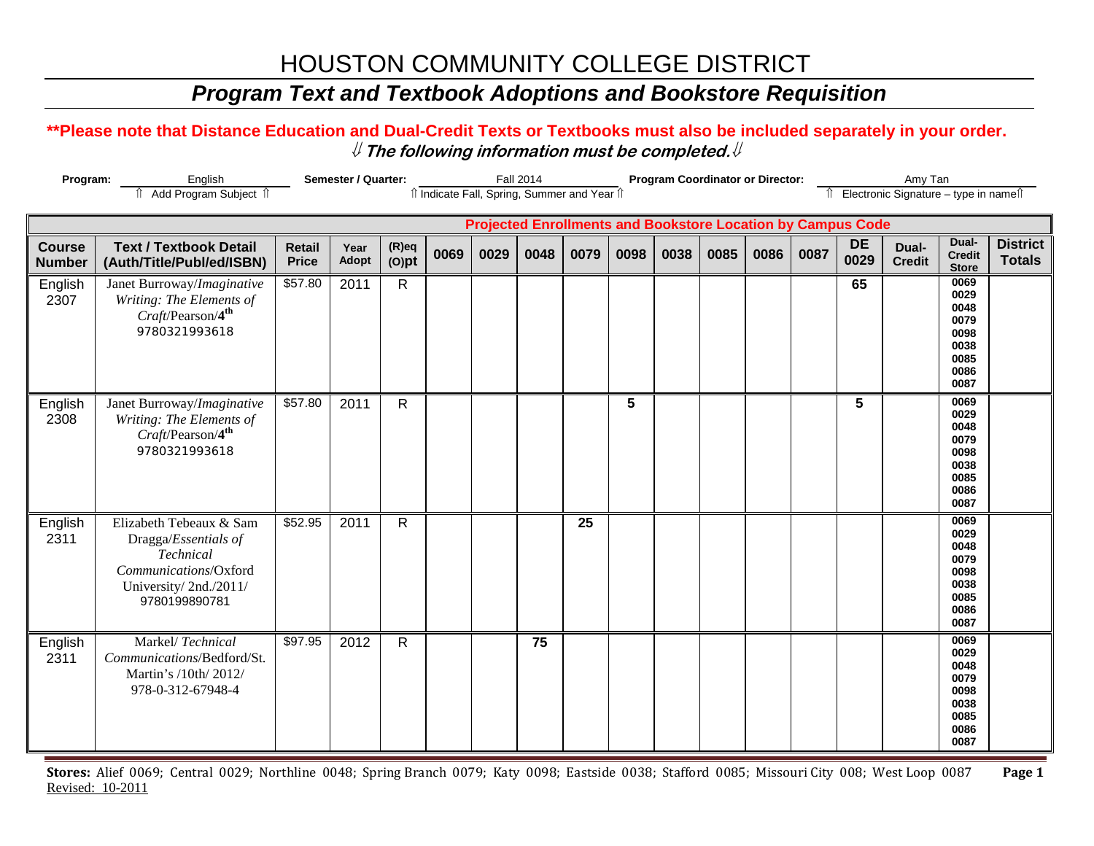### *Program Text and Textbook Adoptions and Bookstore Requisition*

#### **\*\*Please note that Distance Education and Dual-Credit Texts or Textbooks must also be included separately in your order.**  ⇓ **The following information must be completed.**⇓

| Program:                       | English<br>Add Program Subject 1                                                                                                |                        | Semester / Quarter: |                      |      |      | <b>Fall 2014</b> | îl Indicate Fall, Spring, Summer and Year 1 |      |      | Program Coordinator or Director: |      |      |                                                                    | Amy Tan<br>Electronic Signature - type in names |                                                                      |                                  |
|--------------------------------|---------------------------------------------------------------------------------------------------------------------------------|------------------------|---------------------|----------------------|------|------|------------------|---------------------------------------------|------|------|----------------------------------|------|------|--------------------------------------------------------------------|-------------------------------------------------|----------------------------------------------------------------------|----------------------------------|
|                                |                                                                                                                                 |                        |                     |                      |      |      |                  |                                             |      |      |                                  |      |      | <b>Projected Enrollments and Bookstore Location by Campus Code</b> |                                                 |                                                                      |                                  |
| <b>Course</b><br><b>Number</b> | <b>Text / Textbook Detail</b><br>(Auth/Title/Publ/ed/ISBN)                                                                      | Retail<br><b>Price</b> | Year<br>Adopt       | $(R)$ eq<br>$(O)$ pt | 0069 | 0029 | 0048             | 0079                                        | 0098 | 0038 | 0085                             | 0086 | 0087 | <b>DE</b><br>0029                                                  | Dual-<br><b>Credit</b>                          | Dual-<br><b>Credit</b><br><b>Store</b>                               | <b>District</b><br><b>Totals</b> |
| English<br>2307                | Janet Burroway/Imaginative<br>Writing: The Elements of<br>$Craft$ /Pearson/4 <sup>th</sup><br>9780321993618                     | \$57.80                | 2011                | $\mathsf{R}$         |      |      |                  |                                             |      |      |                                  |      |      | 65                                                                 |                                                 | 0069<br>0029<br>0048<br>0079<br>0098<br>0038<br>0085<br>0086<br>0087 |                                  |
| English<br>2308                | Janet Burroway/Imaginative<br>Writing: The Elements of<br>$Craft$ /Pearson/4 <sup>th</sup><br>9780321993618                     | \$57.80                | 2011                | $\mathsf{R}$         |      |      |                  |                                             | 5    |      |                                  |      |      | 5                                                                  |                                                 | 0069<br>0029<br>0048<br>0079<br>0098<br>0038<br>0085<br>0086<br>0087 |                                  |
| English<br>2311                | Elizabeth Tebeaux & Sam<br>Dragga/Essentials of<br>Technical<br>Communications/Oxford<br>University/2nd./2011/<br>9780199890781 | \$52.95                | 2011                | $\mathsf{R}$         |      |      |                  | 25                                          |      |      |                                  |      |      |                                                                    |                                                 | 0069<br>0029<br>0048<br>0079<br>0098<br>0038<br>0085<br>0086<br>0087 |                                  |
| English<br>2311                | Markel/Technical<br>Communications/Bedford/St.<br>Martin's /10th/ 2012/<br>978-0-312-67948-4                                    | \$97.95                | 2012                | $\mathsf{R}$         |      |      | 75               |                                             |      |      |                                  |      |      |                                                                    |                                                 | 0069<br>0029<br>0048<br>0079<br>0098<br>0038<br>0085<br>0086<br>0087 |                                  |

**Stores:** Alief 0069; Central 0029; Northline 0048; Spring Branch 0079; Katy 0098; Eastside 0038; Stafford 0085; Missouri City 008; West Loop 0087 **Page 1** Revised: 10-2011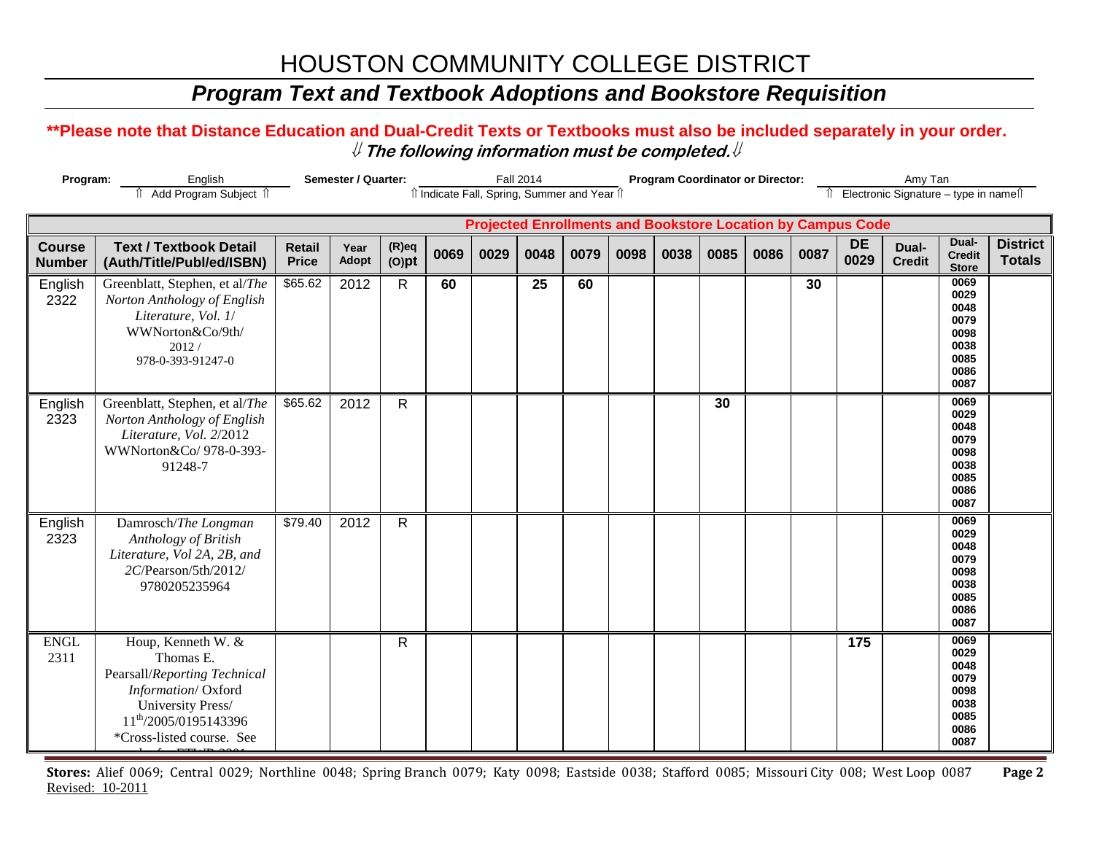### *Program Text and Textbook Adoptions and Bookstore Requisition*

#### **\*\*Please note that Distance Education and Dual-Credit Texts or Textbooks must also be included separately in your order.**  ⇓ **The following information must be completed.**⇓

| Program:                       | English<br>Add Program Subject 1                                                                                                                                                                 |                        | Semester / Quarter: |                      |      |      | <b>Fall 2014</b> |                                              |      | <b>Program Coordinator or Director:</b> |      |      |      |                                                                    | Amy Tan                                  |                                                                      |                                  |
|--------------------------------|--------------------------------------------------------------------------------------------------------------------------------------------------------------------------------------------------|------------------------|---------------------|----------------------|------|------|------------------|----------------------------------------------|------|-----------------------------------------|------|------|------|--------------------------------------------------------------------|------------------------------------------|----------------------------------------------------------------------|----------------------------------|
|                                |                                                                                                                                                                                                  |                        |                     |                      |      |      |                  | îl Indicate Fall, Spring, Summer and Year îl |      |                                         |      |      |      |                                                                    | Îl Electronic Signature - type in nameîl |                                                                      |                                  |
|                                |                                                                                                                                                                                                  |                        |                     |                      |      |      |                  |                                              |      |                                         |      |      |      | <b>Projected Enrollments and Bookstore Location by Campus Code</b> |                                          |                                                                      |                                  |
| <b>Course</b><br><b>Number</b> | <b>Text / Textbook Detail</b><br>(Auth/Title/Publ/ed/ISBN)                                                                                                                                       | Retail<br><b>Price</b> | Year<br>Adopt       | $(R)$ eq<br>$(O)$ pt | 0069 | 0029 | 0048             | 0079                                         | 0098 | 0038                                    | 0085 | 0086 | 0087 | <b>DE</b><br>0029                                                  | Dual-<br><b>Credit</b>                   | Dual-<br><b>Credit</b><br><b>Store</b>                               | <b>District</b><br><b>Totals</b> |
| English<br>2322                | Greenblatt, Stephen, et al/The<br>Norton Anthology of English<br>Literature, Vol. 1/<br>WWNorton&Co/9th/<br>2012/<br>978-0-393-91247-0                                                           | \$65.62                | 2012                | $\mathsf{R}$         | 60   |      | 25               | 60                                           |      |                                         |      |      | 30   |                                                                    |                                          | 0069<br>0029<br>0048<br>0079<br>0098<br>0038<br>0085<br>0086<br>0087 |                                  |
| English<br>2323                | Greenblatt, Stephen, et al/The<br>Norton Anthology of English<br>Literature, Vol. 2/2012<br>WWNorton&Co/ 978-0-393-<br>91248-7                                                                   | \$65.62                | 2012                | $\mathsf{R}$         |      |      |                  |                                              |      |                                         | 30   |      |      |                                                                    |                                          | 0069<br>0029<br>0048<br>0079<br>0098<br>0038<br>0085<br>0086<br>0087 |                                  |
| English<br>2323                | Damrosch/The Longman<br>Anthology of British<br>Literature, Vol 2A, 2B, and<br>2C/Pearson/5th/2012/<br>9780205235964                                                                             | \$79.40                | 2012                | $\mathsf{R}$         |      |      |                  |                                              |      |                                         |      |      |      |                                                                    |                                          | 0069<br>0029<br>0048<br>0079<br>0098<br>0038<br>0085<br>0086<br>0087 |                                  |
| <b>ENGL</b><br>2311            | Houp, Kenneth W. &<br>Thomas E.<br>Pearsall/Reporting Technical<br>Information/Oxford<br>University Press/<br>11 <sup>th</sup> /2005/0195143396<br>*Cross-listed course. See<br><b>DOWND 330</b> |                        |                     | $\mathsf{R}$         |      |      |                  |                                              |      |                                         |      |      |      | 175                                                                |                                          | 0069<br>0029<br>0048<br>0079<br>0098<br>0038<br>0085<br>0086<br>0087 |                                  |

**Stores:** Alief 0069; Central 0029; Northline 0048; Spring Branch 0079; Katy 0098; Eastside 0038; Stafford 0085; Missouri City 008; West Loop 0087 **Page 2** Revised: 10-2011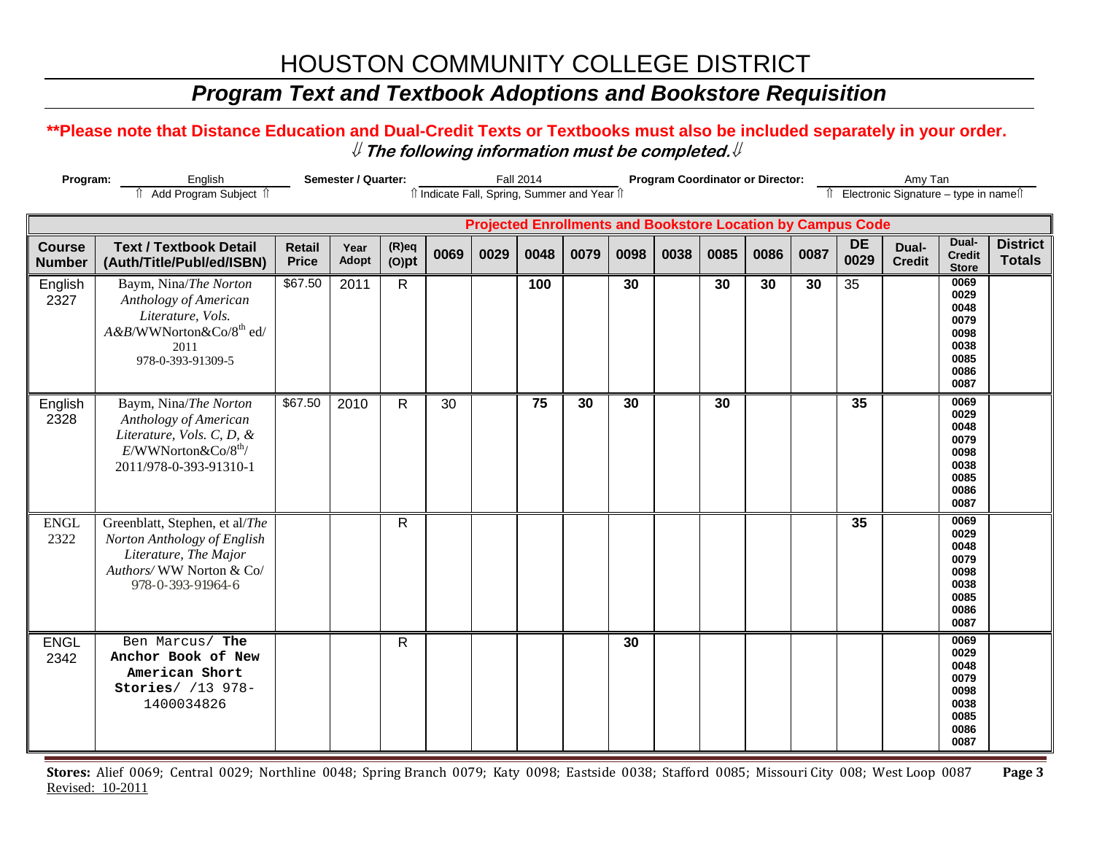### *Program Text and Textbook Adoptions and Bookstore Requisition*

#### **\*\*Please note that Distance Education and Dual-Credit Texts or Textbooks must also be included separately in your order.**  ⇓ **The following information must be completed.**⇓

| Program:                       | English<br>Add Program Subject 1                                                                                                                 |                               | Semester / Quarter: |                      |      |      | <b>Fall 2014</b> | îl Indicate Fall, Spring, Summer and Year îl |      |      | <b>Program Coordinator or Director:</b> |      |      |                                                                    | Amy Tan<br>Îl Electronic Signature - type in namell |                                                                      |                                  |
|--------------------------------|--------------------------------------------------------------------------------------------------------------------------------------------------|-------------------------------|---------------------|----------------------|------|------|------------------|----------------------------------------------|------|------|-----------------------------------------|------|------|--------------------------------------------------------------------|-----------------------------------------------------|----------------------------------------------------------------------|----------------------------------|
|                                |                                                                                                                                                  |                               |                     |                      |      |      |                  |                                              |      |      |                                         |      |      | <b>Projected Enrollments and Bookstore Location by Campus Code</b> |                                                     |                                                                      |                                  |
| <b>Course</b><br><b>Number</b> | <b>Text / Textbook Detail</b><br>(Auth/Title/Publ/ed/ISBN)                                                                                       | <b>Retail</b><br><b>Price</b> | Year<br>Adopt       | $(R)$ eq<br>$(O)$ pt | 0069 | 0029 | 0048             | 0079                                         | 0098 | 0038 | 0085                                    | 0086 | 0087 | <b>DE</b><br>0029                                                  | Dual-<br><b>Credit</b>                              | Dual-<br><b>Credit</b><br><b>Store</b>                               | <b>District</b><br><b>Totals</b> |
| English<br>2327                | Baym, Nina/The Norton<br>Anthology of American<br>Literature, Vols.<br>A&B/WWNorton&Co/8 <sup>th</sup> ed/<br>2011<br>978-0-393-91309-5          | \$67.50                       | 2011                | $\mathsf{R}$         |      |      | 100              |                                              | 30   |      | 30                                      | 30   | 30   | 35                                                                 |                                                     | 0069<br>0029<br>0048<br>0079<br>0098<br>0038<br>0085<br>0086<br>0087 |                                  |
| English<br>2328                | Baym, Nina/The Norton<br>Anthology of American<br>Literature, Vols. C, D, &<br>$E/WWN$ orton $\&$ Co/8 <sup>th</sup> /<br>2011/978-0-393-91310-1 | \$67.50                       | 2010                | R                    | 30   |      | 75               | 30                                           | 30   |      | 30                                      |      |      | 35                                                                 |                                                     | 0069<br>0029<br>0048<br>0079<br>0098<br>0038<br>0085<br>0086<br>0087 |                                  |
| <b>ENGL</b><br>2322            | Greenblatt, Stephen, et al/The<br>Norton Anthology of English<br>Literature, The Major<br>Authors/WW Norton & Co/<br>978-0-393-91964-6           |                               |                     | $\mathsf{R}$         |      |      |                  |                                              |      |      |                                         |      |      | 35                                                                 |                                                     | 0069<br>0029<br>0048<br>0079<br>0098<br>0038<br>0085<br>0086<br>0087 |                                  |
| <b>ENGL</b><br>2342            | Ben Marcus/ The<br>Anchor Book of New<br>American Short<br>Stories/ $/$ /13 978-<br>1400034826                                                   |                               |                     | $\mathsf{R}$         |      |      |                  |                                              | 30   |      |                                         |      |      |                                                                    |                                                     | 0069<br>0029<br>0048<br>0079<br>0098<br>0038<br>0085<br>0086<br>0087 |                                  |

**Stores:** Alief 0069; Central 0029; Northline 0048; Spring Branch 0079; Katy 0098; Eastside 0038; Stafford 0085; Missouri City 008; West Loop 0087 **Page 3** Revised: 10-2011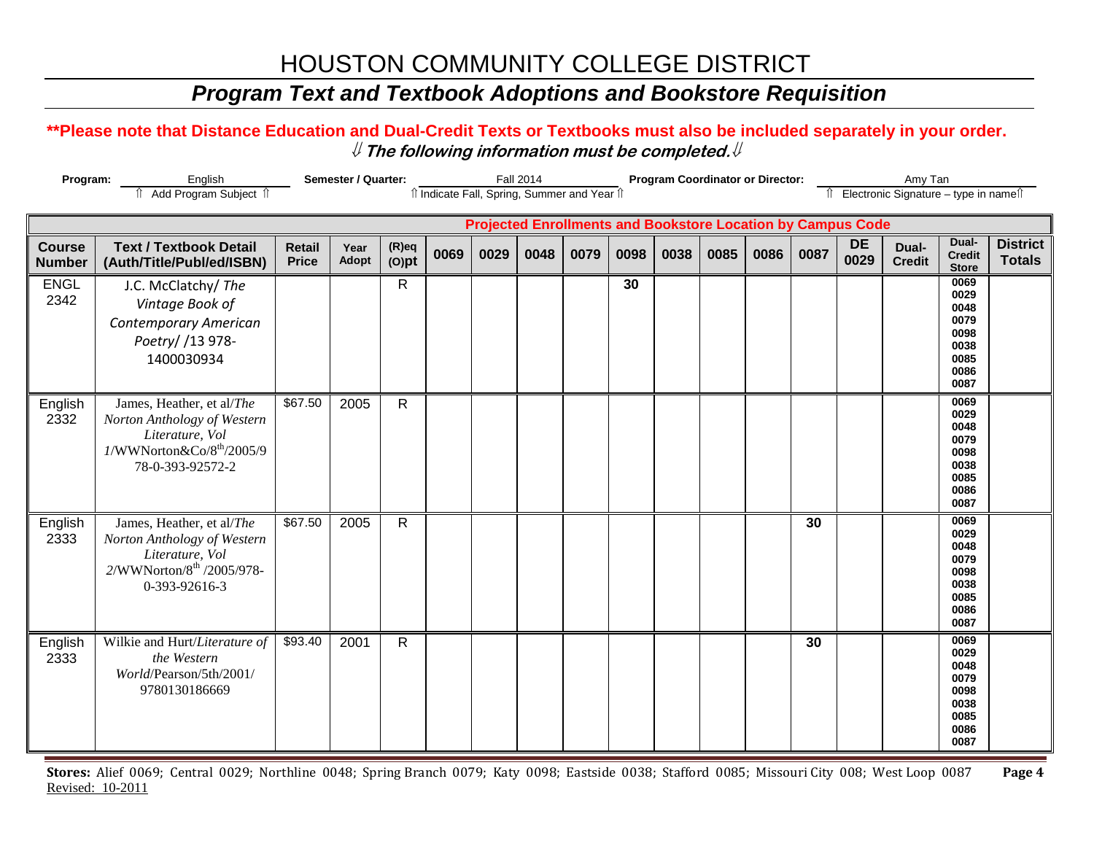### *Program Text and Textbook Adoptions and Bookstore Requisition*

#### **\*\*Please note that Distance Education and Dual-Credit Texts or Textbooks must also be included separately in your order.**  ⇓ **The following information must be completed.**⇓

| Program:                       | English<br>Add Program Subject 1                                                                                                         |                               | Semester / Quarter: |                      |      |      | <b>Fall 2014</b><br>îl Indicate Fall, Spring, Summer and Year îl |      |      |      | <b>Program Coordinator or Director:</b> |      |      |                                                                    | Amy Tan<br>Electronic Signature - type in names |                                                                      |                                  |
|--------------------------------|------------------------------------------------------------------------------------------------------------------------------------------|-------------------------------|---------------------|----------------------|------|------|------------------------------------------------------------------|------|------|------|-----------------------------------------|------|------|--------------------------------------------------------------------|-------------------------------------------------|----------------------------------------------------------------------|----------------------------------|
|                                |                                                                                                                                          |                               |                     |                      |      |      |                                                                  |      |      |      |                                         |      |      | <b>Projected Enrollments and Bookstore Location by Campus Code</b> |                                                 |                                                                      |                                  |
| <b>Course</b><br><b>Number</b> | <b>Text / Textbook Detail</b><br>(Auth/Title/Publ/ed/ISBN)                                                                               | <b>Retail</b><br><b>Price</b> | Year<br>Adopt       | $(R)$ eq<br>$(O)$ pt | 0069 | 0029 | 0048                                                             | 0079 | 0098 | 0038 | 0085                                    | 0086 | 0087 | <b>DE</b><br>0029                                                  | Dual-<br><b>Credit</b>                          | Dual-<br><b>Credit</b><br><b>Store</b>                               | <b>District</b><br><b>Totals</b> |
| <b>ENGL</b><br>2342            | J.C. McClatchy/The<br>Vintage Book of<br>Contemporary American<br>Poetry/ /13 978-<br>1400030934                                         |                               |                     | $\mathsf{R}$         |      |      |                                                                  |      | 30   |      |                                         |      |      |                                                                    |                                                 | 0069<br>0029<br>0048<br>0079<br>0098<br>0038<br>0085<br>0086<br>0087 |                                  |
| English<br>2332                | James, Heather, et al/The<br>Norton Anthology of Western<br>Literature, Vol<br>1/WWNorton&Co/8 <sup>th</sup> /2005/9<br>78-0-393-92572-2 | \$67.50                       | 2005                | $\mathsf{R}$         |      |      |                                                                  |      |      |      |                                         |      |      |                                                                    |                                                 | 0069<br>0029<br>0048<br>0079<br>0098<br>0038<br>0085<br>0086<br>0087 |                                  |
| English<br>2333                | James, Heather, et al/The<br>Norton Anthology of Western<br>Literature, Vol<br>2/WWNorton/8 <sup>th</sup> /2005/978-<br>0-393-92616-3    | \$67.50                       | 2005                | $\mathsf{R}$         |      |      |                                                                  |      |      |      |                                         |      | 30   |                                                                    |                                                 | 0069<br>0029<br>0048<br>0079<br>0098<br>0038<br>0085<br>0086<br>0087 |                                  |
| English<br>2333                | Wilkie and Hurt/Literature of<br>the Western<br>World/Pearson/5th/2001/<br>9780130186669                                                 | \$93.40                       | 2001                | $\mathsf{R}$         |      |      |                                                                  |      |      |      |                                         |      | 30   |                                                                    |                                                 | 0069<br>0029<br>0048<br>0079<br>0098<br>0038<br>0085<br>0086<br>0087 |                                  |

**Stores:** Alief 0069; Central 0029; Northline 0048; Spring Branch 0079; Katy 0098; Eastside 0038; Stafford 0085; Missouri City 008; West Loop 0087 **Page 4** Revised: 10-2011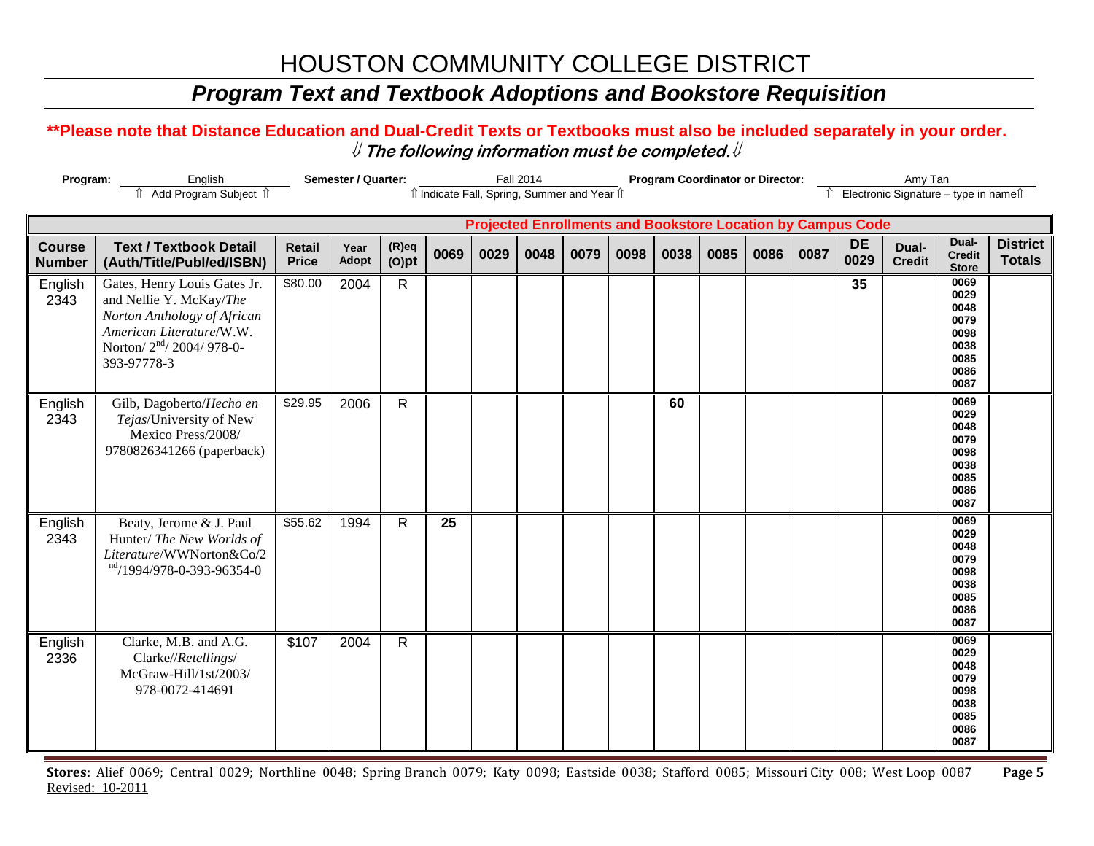### *Program Text and Textbook Adoptions and Bookstore Requisition*

#### **\*\*Please note that Distance Education and Dual-Credit Texts or Textbooks must also be included separately in your order.**  ⇓ **The following information must be completed.**⇓

| Program:                       | English<br>Add Program Subject 1                                                                                                                                         |                               | Semester / Quarter: |                      |      | îl Indicate Fall, Spring, Summer and Year îl | <b>Fall 2014</b> |      |      |      | <b>Program Coordinator or Director:</b> |      |      |                                                                    | Amy Tan<br>Îl Electronic Signature - type in namell |                                                                      |                                  |
|--------------------------------|--------------------------------------------------------------------------------------------------------------------------------------------------------------------------|-------------------------------|---------------------|----------------------|------|----------------------------------------------|------------------|------|------|------|-----------------------------------------|------|------|--------------------------------------------------------------------|-----------------------------------------------------|----------------------------------------------------------------------|----------------------------------|
|                                |                                                                                                                                                                          |                               |                     |                      |      |                                              |                  |      |      |      |                                         |      |      | <b>Projected Enrollments and Bookstore Location by Campus Code</b> |                                                     |                                                                      |                                  |
| <b>Course</b><br><b>Number</b> | <b>Text / Textbook Detail</b><br>(Auth/Title/Publ/ed/ISBN)                                                                                                               | <b>Retail</b><br><b>Price</b> | Year<br>Adopt       | $(R)$ eq<br>$(O)$ pt | 0069 | 0029                                         | 0048             | 0079 | 0098 | 0038 | 0085                                    | 0086 | 0087 | <b>DE</b><br>0029                                                  | Dual-<br><b>Credit</b>                              | Dual-<br><b>Credit</b><br><b>Store</b>                               | <b>District</b><br><b>Totals</b> |
| English<br>2343                | Gates, Henry Louis Gates Jr.<br>and Nellie Y. McKay/The<br>Norton Anthology of African<br>American Literature/W.W.<br>Norton/2 <sup>nd</sup> /2004/978-0-<br>393-97778-3 | \$80.00                       | 2004                | $\mathsf{R}$         |      |                                              |                  |      |      |      |                                         |      |      | 35                                                                 |                                                     | 0069<br>0029<br>0048<br>0079<br>0098<br>0038<br>0085<br>0086<br>0087 |                                  |
| English<br>2343                | Gilb, Dagoberto/Hecho en<br>Tejas/University of New<br>Mexico Press/2008/<br>9780826341266 (paperback)                                                                   | \$29.95                       | 2006                | $\mathsf{R}$         |      |                                              |                  |      |      | 60   |                                         |      |      |                                                                    |                                                     | 0069<br>0029<br>0048<br>0079<br>0098<br>0038<br>0085<br>0086<br>0087 |                                  |
| English<br>2343                | Beaty, Jerome & J. Paul<br>Hunter/ The New Worlds of<br>Literature/WWNorton&Co/2<br>nd/1994/978-0-393-96354-0                                                            | \$55.62                       | 1994                | $\mathsf{R}$         | 25   |                                              |                  |      |      |      |                                         |      |      |                                                                    |                                                     | 0069<br>0029<br>0048<br>0079<br>0098<br>0038<br>0085<br>0086<br>0087 |                                  |
| English<br>2336                | Clarke, M.B. and A.G.<br>Clarke//Retellings/<br>McGraw-Hill/1st/2003/<br>978-0072-414691                                                                                 | \$107                         | 2004                | $\mathsf{R}$         |      |                                              |                  |      |      |      |                                         |      |      |                                                                    |                                                     | 0069<br>0029<br>0048<br>0079<br>0098<br>0038<br>0085<br>0086<br>0087 |                                  |

**Stores:** Alief 0069; Central 0029; Northline 0048; Spring Branch 0079; Katy 0098; Eastside 0038; Stafford 0085; Missouri City 008; West Loop 0087 **Page 5** Revised: 10-2011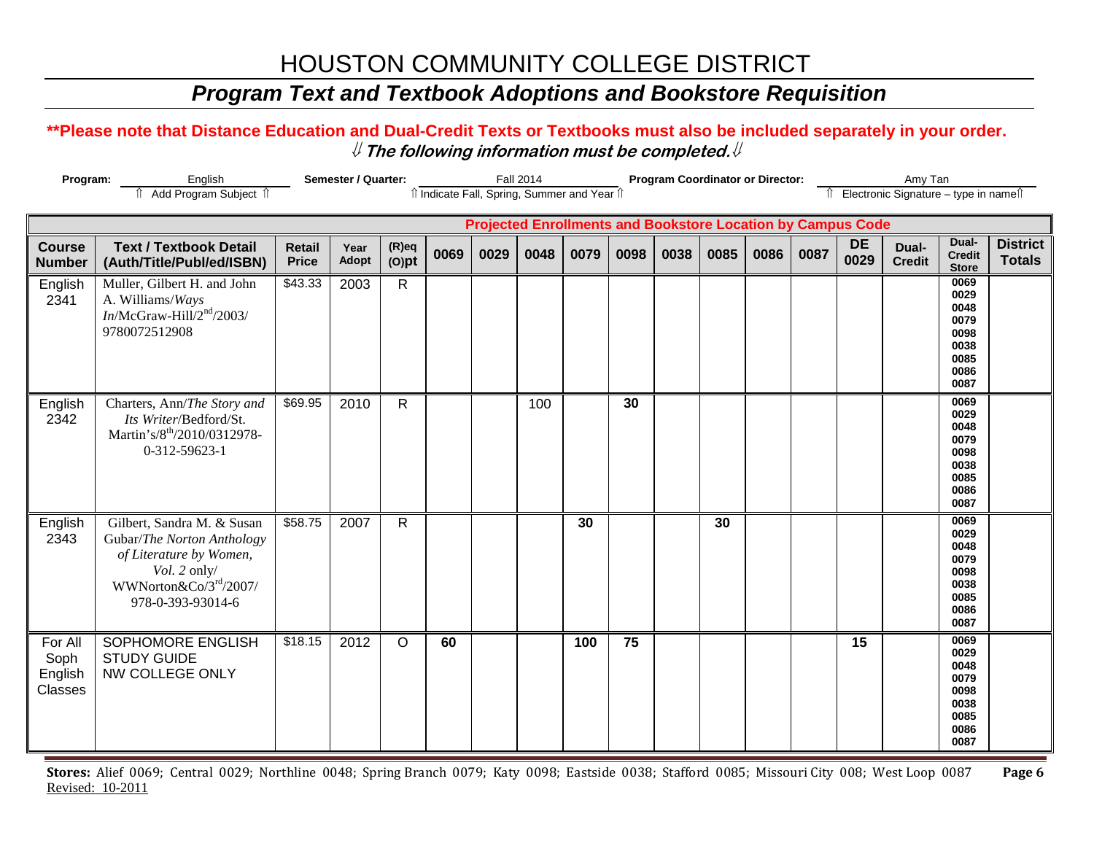### *Program Text and Textbook Adoptions and Bookstore Requisition*

#### **\*\*Please note that Distance Education and Dual-Credit Texts or Textbooks must also be included separately in your order.**  ⇓ **The following information must be completed.**⇓

| Program:                              | English<br>Add Program Subject 1                                                                                                                  |                        | Semester / Quarter: |                      |      |      | <b>Fall 2014</b><br>îl Indicate Fall, Spring, Summer and Year îl |      |      |      | <b>Program Coordinator or Director:</b> |      |      |                                                                    | Amy Tan<br>Îl Electronic Signature - type in nameîl |                                                                      |                                  |
|---------------------------------------|---------------------------------------------------------------------------------------------------------------------------------------------------|------------------------|---------------------|----------------------|------|------|------------------------------------------------------------------|------|------|------|-----------------------------------------|------|------|--------------------------------------------------------------------|-----------------------------------------------------|----------------------------------------------------------------------|----------------------------------|
|                                       |                                                                                                                                                   |                        |                     |                      |      |      |                                                                  |      |      |      |                                         |      |      | <b>Projected Enrollments and Bookstore Location by Campus Code</b> |                                                     |                                                                      |                                  |
| <b>Course</b><br><b>Number</b>        | <b>Text / Textbook Detail</b><br>(Auth/Title/Publ/ed/ISBN)                                                                                        | Retail<br><b>Price</b> | Year<br>Adopt       | $(R)$ eq<br>$(O)$ pt | 0069 | 0029 | 0048                                                             | 0079 | 0098 | 0038 | 0085                                    | 0086 | 0087 | <b>DE</b><br>0029                                                  | Dual-<br><b>Credit</b>                              | Dual-<br><b>Credit</b><br><b>Store</b>                               | <b>District</b><br><b>Totals</b> |
| English<br>2341                       | Muller, Gilbert H. and John<br>A. Williams/Ways<br>$In/McGraw-Hill/2nd/2003/$<br>9780072512908                                                    | \$43.33                | 2003                | $\mathsf{R}$         |      |      |                                                                  |      |      |      |                                         |      |      |                                                                    |                                                     | 0069<br>0029<br>0048<br>0079<br>0098<br>0038<br>0085<br>0086<br>0087 |                                  |
| English<br>2342                       | Charters, Ann/The Story and<br>Its Writer/Bedford/St.<br>Martin's/8 <sup>th</sup> /2010/0312978-<br>0-312-59623-1                                 | \$69.95                | 2010                | $\mathsf{R}$         |      |      | 100                                                              |      | 30   |      |                                         |      |      |                                                                    |                                                     | 0069<br>0029<br>0048<br>0079<br>0098<br>0038<br>0085<br>0086<br>0087 |                                  |
| English<br>2343                       | Gilbert, Sandra M. & Susan<br>Gubar/The Norton Anthology<br>of Literature by Women,<br>Vol. 2 only/<br>WWNorton&Co/3rd/2007/<br>978-0-393-93014-6 | \$58.75                | 2007                | $\mathsf{R}$         |      |      |                                                                  | 30   |      |      | 30                                      |      |      |                                                                    |                                                     | 0069<br>0029<br>0048<br>0079<br>0098<br>0038<br>0085<br>0086<br>0087 |                                  |
| For All<br>Soph<br>English<br>Classes | SOPHOMORE ENGLISH<br><b>STUDY GUIDE</b><br><b>NW COLLEGE ONLY</b>                                                                                 | \$18.15                | 2012                | $\circ$              | 60   |      |                                                                  | 100  | 75   |      |                                         |      |      | 15                                                                 |                                                     | 0069<br>0029<br>0048<br>0079<br>0098<br>0038<br>0085<br>0086<br>0087 |                                  |

**Stores:** Alief 0069; Central 0029; Northline 0048; Spring Branch 0079; Katy 0098; Eastside 0038; Stafford 0085; Missouri City 008; West Loop 0087 **Page 6** Revised: 10-2011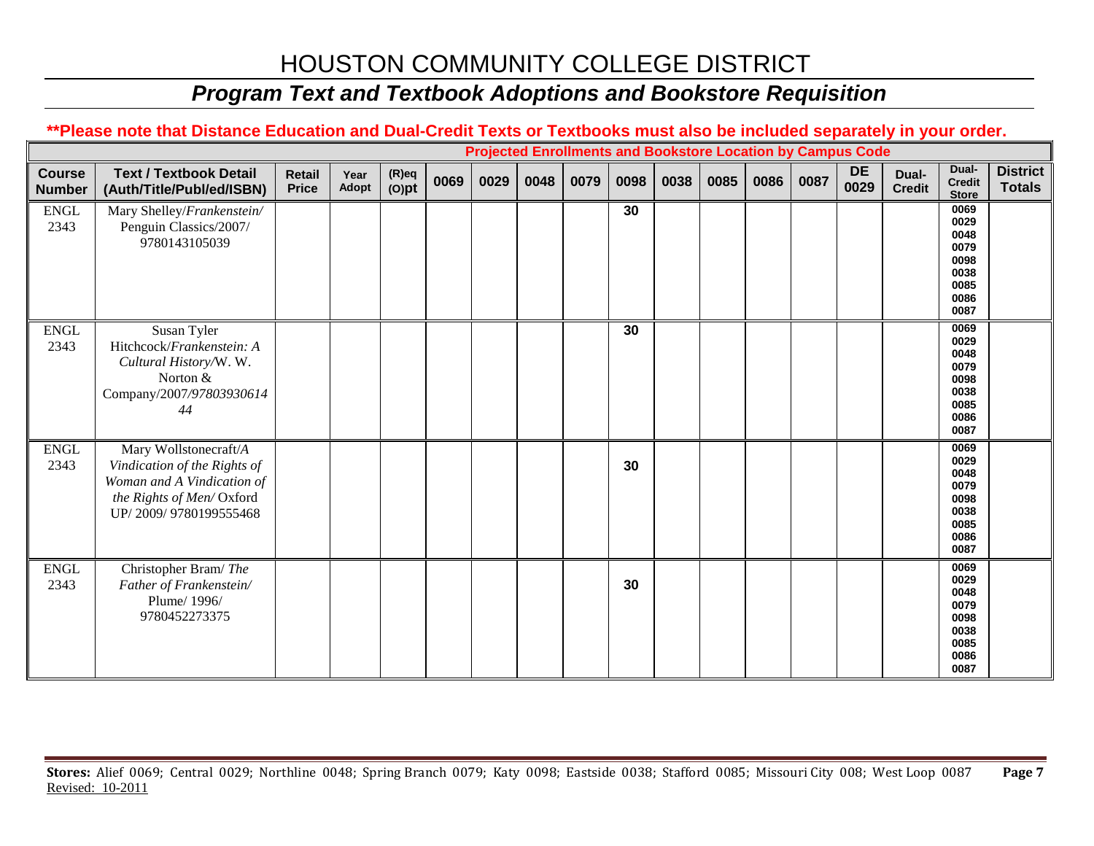### *Program Text and Textbook Adoptions and Bookstore Requisition*

#### **\*\*Please note that Distance Education and Dual-Credit Texts or Textbooks must also be included separately in your order.**

|                                |                                                                                                                                          |                               |               |                      |      |      |      |      |      |      |      |      |      | <b>Projected Enrollments and Bookstore Location by Campus Code</b> |                        |                                                                      |                                  |
|--------------------------------|------------------------------------------------------------------------------------------------------------------------------------------|-------------------------------|---------------|----------------------|------|------|------|------|------|------|------|------|------|--------------------------------------------------------------------|------------------------|----------------------------------------------------------------------|----------------------------------|
| <b>Course</b><br><b>Number</b> | <b>Text / Textbook Detail</b><br>(Auth/Title/Publ/ed/ISBN)                                                                               | <b>Retail</b><br><b>Price</b> | Year<br>Adopt | $(R)$ eq<br>$(O)$ pt | 0069 | 0029 | 0048 | 0079 | 0098 | 0038 | 0085 | 0086 | 0087 | <b>DE</b><br>0029                                                  | Dual-<br><b>Credit</b> | Dual-<br><b>Credit</b><br><b>Store</b>                               | <b>District</b><br><b>Totals</b> |
| ${\rm ENGL}$<br>2343           | Mary Shelley/Frankenstein/<br>Penguin Classics/2007/<br>9780143105039                                                                    |                               |               |                      |      |      |      |      | 30   |      |      |      |      |                                                                    |                        | 0069<br>0029<br>0048<br>0079<br>0098<br>0038<br>0085<br>0086<br>0087 |                                  |
| ${\rm ENGL}$<br>2343           | Susan Tyler<br>Hitchcock/Frankenstein: A<br>Cultural History/W. W.<br>Norton &<br>Company/2007/97803930614<br>44                         |                               |               |                      |      |      |      |      | 30   |      |      |      |      |                                                                    |                        | 0069<br>0029<br>0048<br>0079<br>0098<br>0038<br>0085<br>0086<br>0087 |                                  |
| <b>ENGL</b><br>2343            | Mary Wollstonecraft/A<br>Vindication of the Rights of<br>Woman and A Vindication of<br>the Rights of Men/Oxford<br>UP/2009/9780199555468 |                               |               |                      |      |      |      |      | 30   |      |      |      |      |                                                                    |                        | 0069<br>0029<br>0048<br>0079<br>0098<br>0038<br>0085<br>0086<br>0087 |                                  |
| <b>ENGL</b><br>2343            | Christopher Bram/The<br>Father of Frankenstein/<br>Plume/ 1996/<br>9780452273375                                                         |                               |               |                      |      |      |      |      | 30   |      |      |      |      |                                                                    |                        | 0069<br>0029<br>0048<br>0079<br>0098<br>0038<br>0085<br>0086<br>0087 |                                  |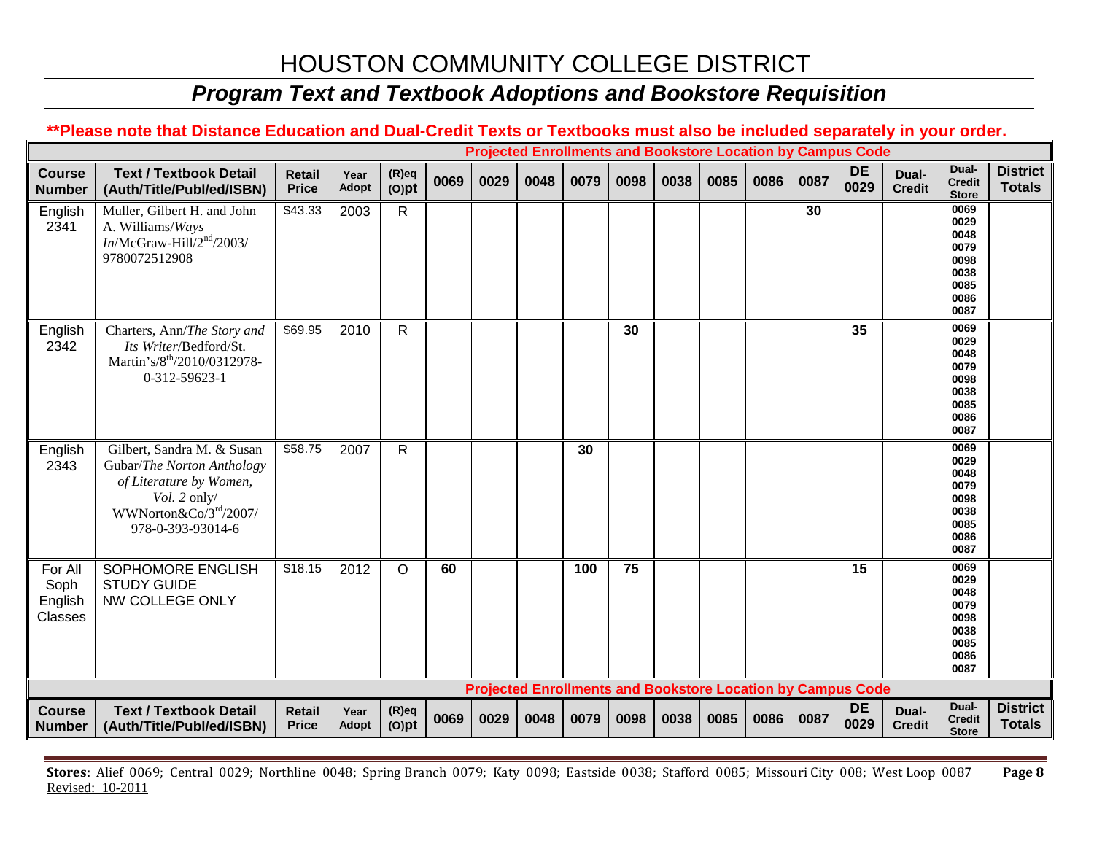## *Program Text and Textbook Adoptions and Bookstore Requisition*

#### **\*\*Please note that Distance Education and Dual-Credit Texts or Textbooks must also be included separately in your order.**

|                                              |                                                                                                                                                   |                               |               |                      |      |      |      |      |      |      |      |      |      | <b>Projected Enrollments and Bookstore Location by Campus Code</b> |                        |                                                                      |                                  |
|----------------------------------------------|---------------------------------------------------------------------------------------------------------------------------------------------------|-------------------------------|---------------|----------------------|------|------|------|------|------|------|------|------|------|--------------------------------------------------------------------|------------------------|----------------------------------------------------------------------|----------------------------------|
| <b>Course</b><br><b>Number</b>               | <b>Text / Textbook Detail</b><br>(Auth/Title/Publ/ed/ISBN)                                                                                        | <b>Retail</b><br><b>Price</b> | Year<br>Adopt | $(R)$ eq<br>$(O)$ pt | 0069 | 0029 | 0048 | 0079 | 0098 | 0038 | 0085 | 0086 | 0087 | <b>DE</b><br>0029                                                  | Dual-<br><b>Credit</b> | Dual-<br><b>Credit</b><br><b>Store</b>                               | <b>District</b><br><b>Totals</b> |
| English<br>2341                              | Muller, Gilbert H. and John<br>A. Williams/Ways<br>$In/McGraw-Hill/2nd/2003/$<br>9780072512908                                                    | \$43.33                       | 2003          | R                    |      |      |      |      |      |      |      |      | 30   |                                                                    |                        | 0069<br>0029<br>0048<br>0079<br>0098<br>0038<br>0085<br>0086<br>0087 |                                  |
| English<br>2342                              | Charters, Ann/The Story and<br>Its Writer/Bedford/St.<br>Martin's/8 <sup>th</sup> /2010/0312978-<br>0-312-59623-1                                 | \$69.95                       | 2010          | $\mathsf{R}$         |      |      |      |      | 30   |      |      |      |      | 35                                                                 |                        | 0069<br>0029<br>0048<br>0079<br>0098<br>0038<br>0085<br>0086<br>0087 |                                  |
| English<br>2343                              | Gilbert, Sandra M. & Susan<br>Gubar/The Norton Anthology<br>of Literature by Women,<br>Vol. 2 only/<br>WWNorton&Co/3rd/2007/<br>978-0-393-93014-6 | \$58.75                       | 2007          | $\mathsf{R}$         |      |      |      | 30   |      |      |      |      |      |                                                                    |                        | 0069<br>0029<br>0048<br>0079<br>0098<br>0038<br>0085<br>0086<br>0087 |                                  |
| For All<br>Soph<br>English<br><b>Classes</b> | SOPHOMORE ENGLISH<br><b>STUDY GUIDE</b><br>NW COLLEGE ONLY                                                                                        | \$18.15                       | 2012          | $\circ$              | 60   |      |      | 100  | 75   |      |      |      |      | 15                                                                 |                        | 0069<br>0029<br>0048<br>0079<br>0098<br>0038<br>0085<br>0086<br>0087 |                                  |
|                                              |                                                                                                                                                   |                               |               |                      |      |      |      |      |      |      |      |      |      | <b>Projected Enrollments and Bookstore Location by Campus Code</b> |                        |                                                                      |                                  |
| <b>Course</b><br><b>Number</b>               | <b>Text / Textbook Detail</b><br>(Auth/Title/Publ/ed/ISBN)                                                                                        | <b>Retail</b><br><b>Price</b> | Year<br>Adopt | $(R)$ eq<br>$(O)$ pt | 0069 | 0029 | 0048 | 0079 | 0098 | 0038 | 0085 | 0086 | 0087 | <b>DE</b><br>0029                                                  | Dual-<br><b>Credit</b> | Dual-<br><b>Credit</b><br><b>Store</b>                               | <b>District</b><br><b>Totals</b> |

**Stores:** Alief 0069; Central 0029; Northline 0048; Spring Branch 0079; Katy 0098; Eastside 0038; Stafford 0085; Missouri City 008; West Loop 0087 **Page 8** Revised: 10-2011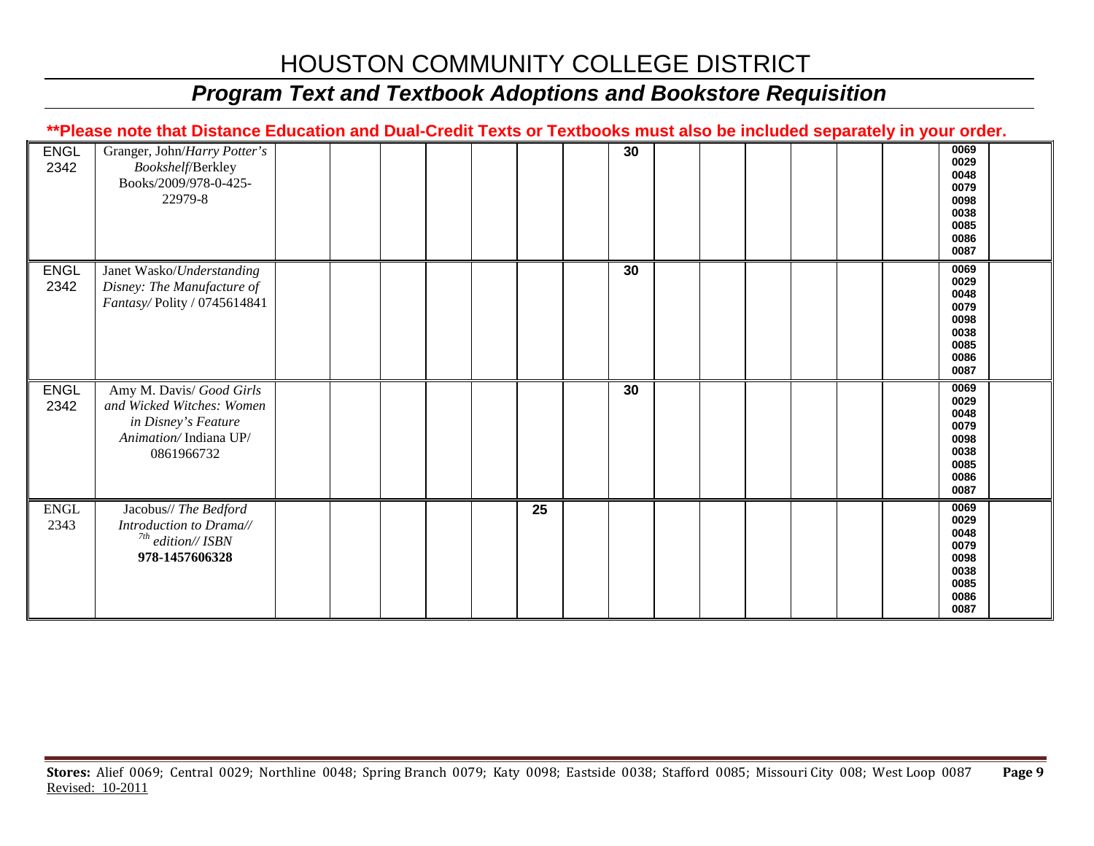# *Program Text and Textbook Adoptions and Bookstore Requisition*

|              | **Please note that Distance Education and Dual-Credit Texts or Textbooks must also be included separately in your order. |  |  |    |    |  |  |  |              |  |
|--------------|--------------------------------------------------------------------------------------------------------------------------|--|--|----|----|--|--|--|--------------|--|
| <b>ENGL</b>  | Granger, John/Harry Potter's                                                                                             |  |  |    | 30 |  |  |  | 0069         |  |
| 2342         | Bookshelf/Berkley                                                                                                        |  |  |    |    |  |  |  | 0029         |  |
|              | Books/2009/978-0-425-                                                                                                    |  |  |    |    |  |  |  | 0048         |  |
|              | 22979-8                                                                                                                  |  |  |    |    |  |  |  | 0079<br>0098 |  |
|              |                                                                                                                          |  |  |    |    |  |  |  | 0038         |  |
|              |                                                                                                                          |  |  |    |    |  |  |  | 0085         |  |
|              |                                                                                                                          |  |  |    |    |  |  |  | 0086         |  |
|              |                                                                                                                          |  |  |    |    |  |  |  | 0087         |  |
| <b>ENGL</b>  | Janet Wasko/Understanding                                                                                                |  |  |    | 30 |  |  |  | 0069         |  |
| 2342         | Disney: The Manufacture of                                                                                               |  |  |    |    |  |  |  | 0029         |  |
|              | Fantasy/Polity / 0745614841                                                                                              |  |  |    |    |  |  |  | 0048         |  |
|              |                                                                                                                          |  |  |    |    |  |  |  | 0079         |  |
|              |                                                                                                                          |  |  |    |    |  |  |  | 0098<br>0038 |  |
|              |                                                                                                                          |  |  |    |    |  |  |  | 0085         |  |
|              |                                                                                                                          |  |  |    |    |  |  |  | 0086         |  |
|              |                                                                                                                          |  |  |    |    |  |  |  | 0087         |  |
| <b>ENGL</b>  | Amy M. Davis/ Good Girls                                                                                                 |  |  |    | 30 |  |  |  | 0069         |  |
| 2342         | and Wicked Witches: Women                                                                                                |  |  |    |    |  |  |  | 0029         |  |
|              | in Disney's Feature                                                                                                      |  |  |    |    |  |  |  | 0048         |  |
|              | Animation/Indiana UP/                                                                                                    |  |  |    |    |  |  |  | 0079         |  |
|              |                                                                                                                          |  |  |    |    |  |  |  | 0098<br>0038 |  |
|              | 0861966732                                                                                                               |  |  |    |    |  |  |  | 0085         |  |
|              |                                                                                                                          |  |  |    |    |  |  |  | 0086         |  |
|              |                                                                                                                          |  |  |    |    |  |  |  | 0087         |  |
| ${\rm ENGL}$ | Jacobus// The Bedford                                                                                                    |  |  | 25 |    |  |  |  | 0069         |  |
| 2343         | Introduction to Drama//                                                                                                  |  |  |    |    |  |  |  | 0029         |  |
|              | $7th$ edition// ISBN                                                                                                     |  |  |    |    |  |  |  | 0048         |  |
|              |                                                                                                                          |  |  |    |    |  |  |  | 0079         |  |
|              | 978-1457606328                                                                                                           |  |  |    |    |  |  |  | 0098         |  |
|              |                                                                                                                          |  |  |    |    |  |  |  | 0038<br>0085 |  |
|              |                                                                                                                          |  |  |    |    |  |  |  | 0086         |  |
|              |                                                                                                                          |  |  |    |    |  |  |  |              |  |
|              |                                                                                                                          |  |  |    |    |  |  |  | 0087         |  |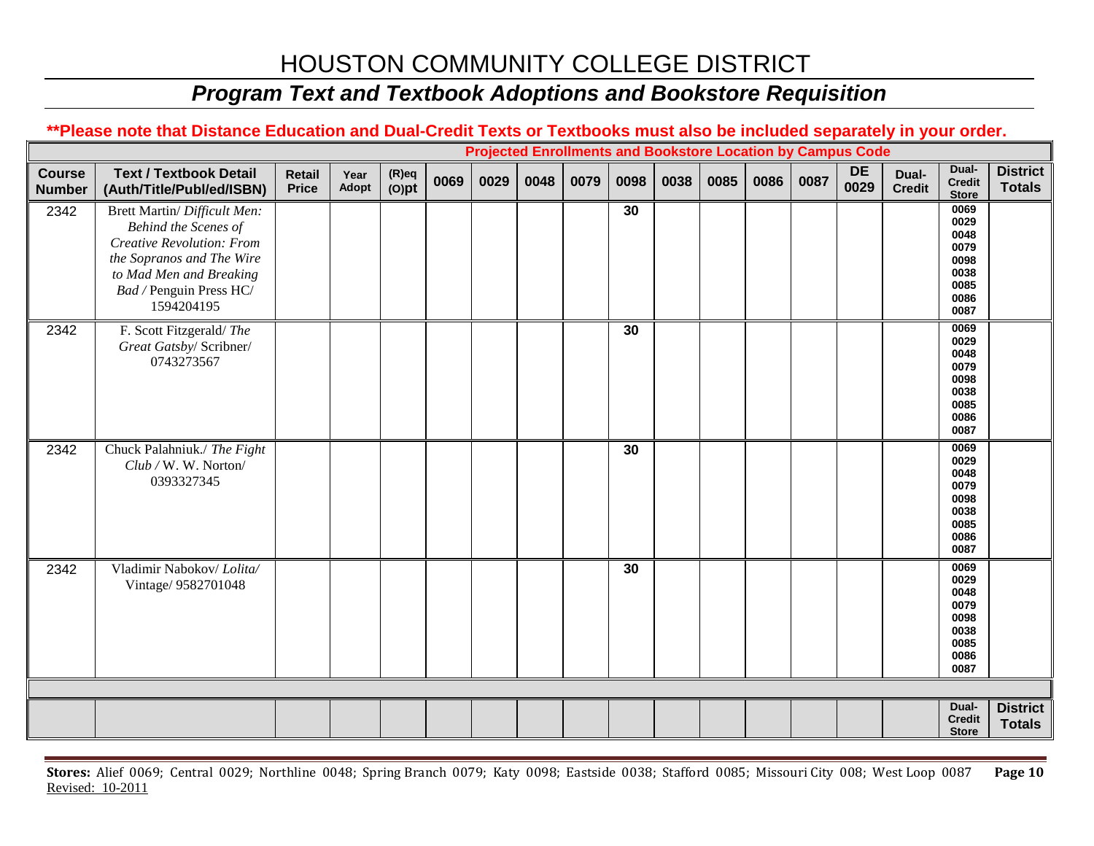## *Program Text and Textbook Adoptions and Bookstore Requisition*

#### **\*\*Please note that Distance Education and Dual-Credit Texts or Textbooks must also be included separately in your order.**

|                         |                                                                                                                                                                                           |                               |               |                      |      |      |      |      |      |      |      |      |      | <b>Projected Enrollments and Bookstore Location by Campus Code</b> |                        |                                                                      |                                  |
|-------------------------|-------------------------------------------------------------------------------------------------------------------------------------------------------------------------------------------|-------------------------------|---------------|----------------------|------|------|------|------|------|------|------|------|------|--------------------------------------------------------------------|------------------------|----------------------------------------------------------------------|----------------------------------|
| <b>Course</b><br>Number | <b>Text / Textbook Detail</b><br>(Auth/Title/Publ/ed/ISBN)                                                                                                                                | <b>Retail</b><br><b>Price</b> | Year<br>Adopt | $(R)$ eq<br>$(O)$ pt | 0069 | 0029 | 0048 | 0079 | 0098 | 0038 | 0085 | 0086 | 0087 | <b>DE</b><br>0029                                                  | Dual-<br><b>Credit</b> | Dual-<br><b>Credit</b><br><b>Store</b>                               | <b>District</b><br><b>Totals</b> |
| 2342                    | Brett Martin/ Difficult Men:<br>Behind the Scenes of<br><b>Creative Revolution: From</b><br>the Sopranos and The Wire<br>to Mad Men and Breaking<br>Bad / Penguin Press HC/<br>1594204195 |                               |               |                      |      |      |      |      | 30   |      |      |      |      |                                                                    |                        | 0069<br>0029<br>0048<br>0079<br>0098<br>0038<br>0085<br>0086<br>0087 |                                  |
| 2342                    | F. Scott Fitzgerald/The<br>Great Gatsby/ Scribner/<br>0743273567                                                                                                                          |                               |               |                      |      |      |      |      | 30   |      |      |      |      |                                                                    |                        | 0069<br>0029<br>0048<br>0079<br>0098<br>0038<br>0085<br>0086<br>0087 |                                  |
| 2342                    | Chuck Palahniuk./ The Fight<br>Club / W. W. Norton/<br>0393327345                                                                                                                         |                               |               |                      |      |      |      |      | 30   |      |      |      |      |                                                                    |                        | 0069<br>0029<br>0048<br>0079<br>0098<br>0038<br>0085<br>0086<br>0087 |                                  |
| 2342                    | Vladimir Nabokov/Lolita/<br>Vintage/ 9582701048                                                                                                                                           |                               |               |                      |      |      |      |      | 30   |      |      |      |      |                                                                    |                        | 0069<br>0029<br>0048<br>0079<br>0098<br>0038<br>0085<br>0086<br>0087 |                                  |
|                         |                                                                                                                                                                                           |                               |               |                      |      |      |      |      |      |      |      |      |      |                                                                    |                        |                                                                      |                                  |
|                         |                                                                                                                                                                                           |                               |               |                      |      |      |      |      |      |      |      |      |      |                                                                    |                        | Dual-<br><b>Credit</b><br><b>Store</b>                               | <b>District</b><br><b>Totals</b> |

**Stores:** Alief 0069; Central 0029; Northline 0048; Spring Branch 0079; Katy 0098; Eastside 0038; Stafford 0085; Missouri City 008; West Loop 0087 **Page 10** Revised: 10-2011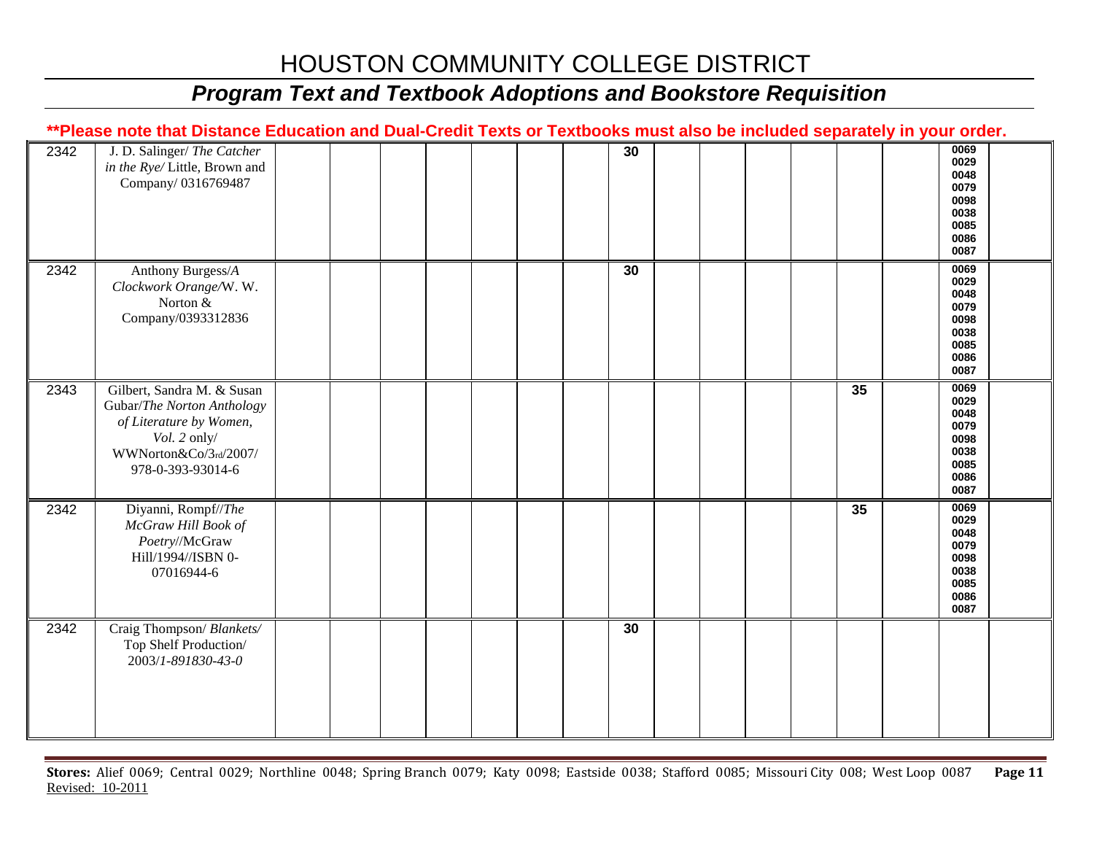### *Program Text and Textbook Adoptions and Bookstore Requisition*

|      | **Please note that Distance Education and Dual-Credit Texts or Textbooks must also be included separately in your order.                          |  |  |  |    |  |  |    |                                                                      |  |
|------|---------------------------------------------------------------------------------------------------------------------------------------------------|--|--|--|----|--|--|----|----------------------------------------------------------------------|--|
| 2342 | J. D. Salinger/ The Catcher<br>in the Rye/Little, Brown and<br>Company/0316769487                                                                 |  |  |  | 30 |  |  |    | 0069<br>0029<br>0048<br>0079<br>0098<br>0038<br>0085<br>0086<br>0087 |  |
| 2342 | Anthony Burgess/A<br>Clockwork Orange/W.W.<br>Norton &<br>Company/0393312836                                                                      |  |  |  | 30 |  |  |    | 0069<br>0029<br>0048<br>0079<br>0098<br>0038<br>0085<br>0086<br>0087 |  |
| 2343 | Gilbert, Sandra M. & Susan<br>Gubar/The Norton Anthology<br>of Literature by Women,<br>Vol. 2 only/<br>WWNorton&Co/3rd/2007/<br>978-0-393-93014-6 |  |  |  |    |  |  | 35 | 0069<br>0029<br>0048<br>0079<br>0098<br>0038<br>0085<br>0086<br>0087 |  |
| 2342 | Diyanni, Rompf//The<br>McGraw Hill Book of<br>Poetry//McGraw<br>Hill/1994//ISBN 0-<br>07016944-6                                                  |  |  |  |    |  |  | 35 | 0069<br>0029<br>0048<br>0079<br>0098<br>0038<br>0085<br>0086<br>0087 |  |
| 2342 | Craig Thompson/ Blankets/<br>Top Shelf Production/<br>2003/1-891830-43-0                                                                          |  |  |  | 30 |  |  |    |                                                                      |  |

**Stores:** Alief 0069; Central 0029; Northline 0048; Spring Branch 0079; Katy 0098; Eastside 0038; Stafford 0085; Missouri City 008; West Loop 0087 **Page 11** Revised: 10-2011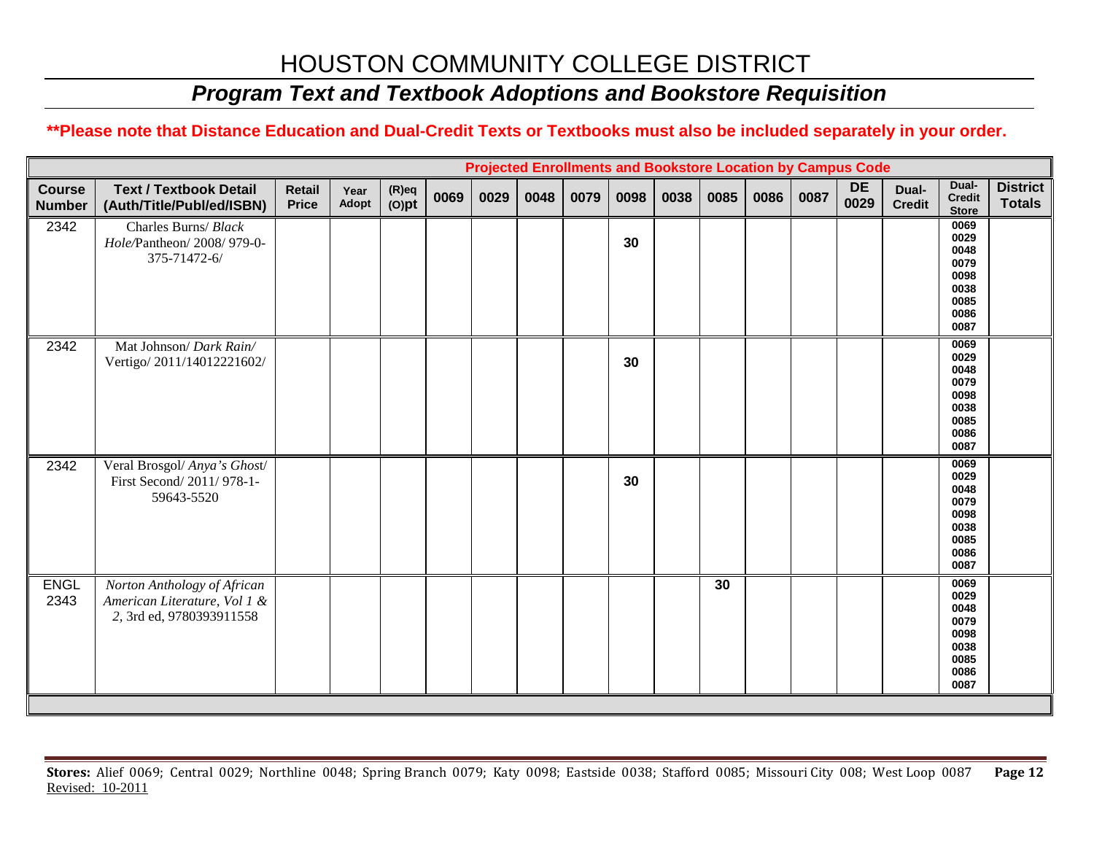### *Program Text and Textbook Adoptions and Bookstore Requisition*

#### **\*\*Please note that Distance Education and Dual-Credit Texts or Textbooks must also be included separately in your order.**

|                                |                                                                                         |                               |               |                      |      |      |      |      |      |      |      |      |      | <b>Projected Enrollments and Bookstore Location by Campus Code</b> |                        |                                                                      |                                  |
|--------------------------------|-----------------------------------------------------------------------------------------|-------------------------------|---------------|----------------------|------|------|------|------|------|------|------|------|------|--------------------------------------------------------------------|------------------------|----------------------------------------------------------------------|----------------------------------|
| <b>Course</b><br><b>Number</b> | <b>Text / Textbook Detail</b><br>(Auth/Title/Publ/ed/ISBN)                              | <b>Retail</b><br><b>Price</b> | Year<br>Adopt | $(R)$ eq<br>$(O)$ pt | 0069 | 0029 | 0048 | 0079 | 0098 | 0038 | 0085 | 0086 | 0087 | <b>DE</b><br>0029                                                  | Dual-<br><b>Credit</b> | Dual-<br><b>Credit</b><br><b>Store</b>                               | <b>District</b><br><b>Totals</b> |
| 2342                           | Charles Burns/ Black<br>Hole/Pantheon/ 2008/ 979-0-<br>375-71472-6/                     |                               |               |                      |      |      |      |      | 30   |      |      |      |      |                                                                    |                        | 0069<br>0029<br>0048<br>0079<br>0098<br>0038<br>0085<br>0086<br>0087 |                                  |
| 2342                           | Mat Johnson/ Dark Rain/<br>Vertigo/2011/14012221602/                                    |                               |               |                      |      |      |      |      | 30   |      |      |      |      |                                                                    |                        | 0069<br>0029<br>0048<br>0079<br>0098<br>0038<br>0085<br>0086<br>0087 |                                  |
| 2342                           | Veral Brosgol/Anya's Ghost/<br>First Second/2011/978-1-<br>59643-5520                   |                               |               |                      |      |      |      |      | 30   |      |      |      |      |                                                                    |                        | 0069<br>0029<br>0048<br>0079<br>0098<br>0038<br>0085<br>0086<br>0087 |                                  |
| <b>ENGL</b><br>2343            | Norton Anthology of African<br>American Literature, Vol 1 &<br>2, 3rd ed, 9780393911558 |                               |               |                      |      |      |      |      |      |      | 30   |      |      |                                                                    |                        | 0069<br>0029<br>0048<br>0079<br>0098<br>0038<br>0085<br>0086<br>0087 |                                  |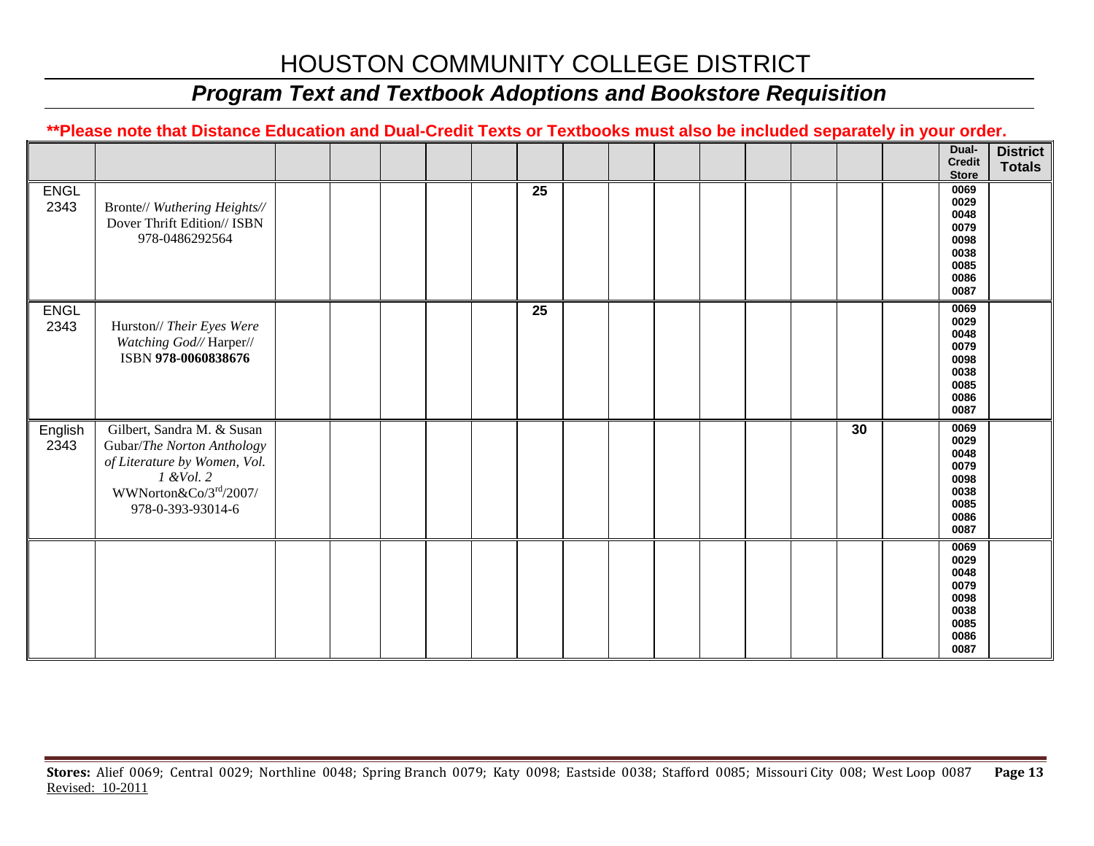### *Program Text and Textbook Adoptions and Bookstore Requisition*

|                     | **Please note that Distance Education and Dual-Credit Texts or Textbooks must also be included separately in your order.                            |  |  |  |  |  |    |  |  |  |  |  |  |    |                                                                      |                                  |
|---------------------|-----------------------------------------------------------------------------------------------------------------------------------------------------|--|--|--|--|--|----|--|--|--|--|--|--|----|----------------------------------------------------------------------|----------------------------------|
|                     |                                                                                                                                                     |  |  |  |  |  |    |  |  |  |  |  |  |    | Dual-<br><b>Credit</b><br><b>Store</b>                               | <b>District</b><br><b>Totals</b> |
| ENGL<br>2343        | Bronte// Wuthering Heights//<br>Dover Thrift Edition// ISBN<br>978-0486292564                                                                       |  |  |  |  |  | 25 |  |  |  |  |  |  |    | 0069<br>0029<br>0048<br>0079<br>0098<br>0038<br>0085<br>0086<br>0087 |                                  |
| <b>ENGL</b><br>2343 | Hurston// Their Eyes Were<br>Watching God//Harper//<br>ISBN 978-0060838676                                                                          |  |  |  |  |  | 25 |  |  |  |  |  |  |    | 0069<br>0029<br>0048<br>0079<br>0098<br>0038<br>0085<br>0086<br>0087 |                                  |
| English<br>2343     | Gilbert, Sandra M. & Susan<br>Gubar/The Norton Anthology<br>of Literature by Women, Vol.<br>1 &Vol. 2<br>WWNorton&Co/3rd/2007/<br>978-0-393-93014-6 |  |  |  |  |  |    |  |  |  |  |  |  | 30 | 0069<br>0029<br>0048<br>0079<br>0098<br>0038<br>0085<br>0086<br>0087 |                                  |
|                     |                                                                                                                                                     |  |  |  |  |  |    |  |  |  |  |  |  |    | 0069<br>0029<br>0048<br>0079<br>0098<br>0038<br>0085<br>0086<br>0087 |                                  |